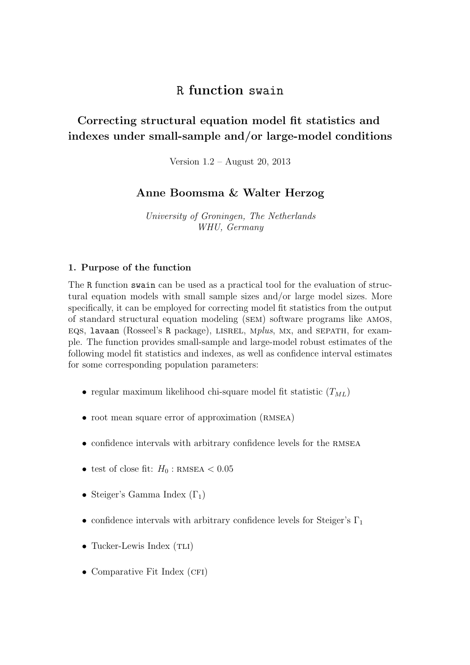# R function swain

# Correcting structural equation model fit statistics and indexes under small-sample and/or large-model conditions

Version 1.2 – August 20, 2013

# Anne Boomsma & Walter Herzog

University of Groningen, The Netherlands WHU, Germany

#### 1. Purpose of the function

The R function swain can be used as a practical tool for the evaluation of structural equation models with small sample sizes and/or large model sizes. More specifically, it can be employed for correcting model fit statistics from the output of standard structural equation modeling (sem) software programs like amos, eqs, lavaan (Rosseel's R package), lisrel, mplus, mx, and sepath, for example. The function provides small-sample and large-model robust estimates of the following model fit statistics and indexes, as well as confidence interval estimates for some corresponding population parameters:

- regular maximum likelihood chi-square model fit statistic  $(T_{ML})$
- root mean square error of approximation (RMSEA)
- confidence intervals with arbitrary confidence levels for the RMSEA
- test of close fit:  $H_0$ : RMSEA < 0.05
- Steiger's Gamma Index  $(\Gamma_1)$
- confidence intervals with arbitrary confidence levels for Steiger's  $\Gamma_1$
- Tucker-Lewis Index  $(TLI)$
- Comparative Fit Index (CFI)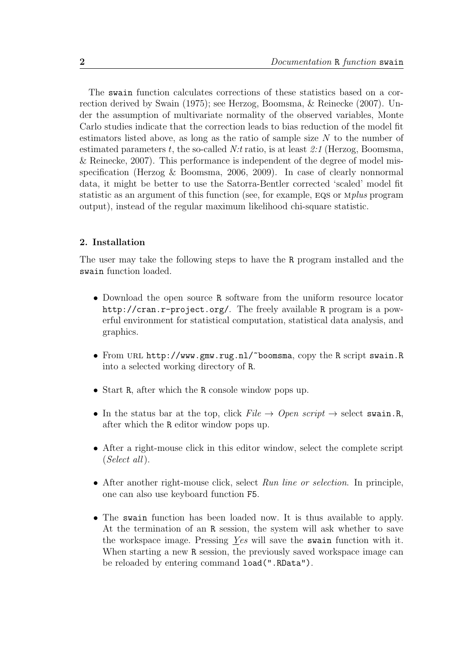The swain function calculates corrections of these statistics based on a correction derived by Swain (1975); see Herzog, Boomsma, & Reinecke (2007). Under the assumption of multivariate normality of the observed variables, Monte Carlo studies indicate that the correction leads to bias reduction of the model fit estimators listed above, as long as the ratio of sample size  $N$  to the number of estimated parameters t, the so-called  $N$ :t ratio, is at least 2:1 (Herzog, Boomsma, & Reinecke, 2007). This performance is independent of the degree of model misspecification (Herzog & Boomsma, 2006, 2009). In case of clearly nonnormal data, it might be better to use the Satorra-Bentler corrected 'scaled' model fit statistic as an argument of this function (see, for example, eqs or mplus program output), instead of the regular maximum likelihood chi-square statistic.

#### 2. Installation

The user may take the following steps to have the R program installed and the swain function loaded.

- Download the open source R software from the uniform resource locator http://cran.r-project.org/. The freely available R program is a powerful environment for statistical computation, statistical data analysis, and graphics.
- From URL http://www.gmw.rug.nl/~boomsma, copy the R script swain.R into a selected working directory of R.
- Start R, after which the R console window pops up.
- In the status bar at the top, click  $File \rightarrow Open \ script \rightarrow select \ swain.R$ , after which the R editor window pops up.
- After a right-mouse click in this editor window, select the complete script (Select all).
- After another right-mouse click, select Run line or selection. In principle, one can also use keyboard function F5.
- The swain function has been loaded now. It is thus available to apply. At the termination of an R session, the system will ask whether to save the workspace image. Pressing Yes will save the swain function with it. When starting a new R session, the previously saved workspace image can be reloaded by entering command load(".RData").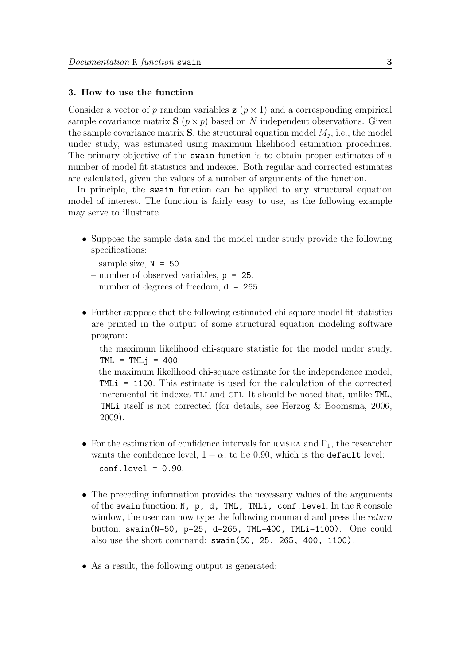#### 3. How to use the function

Consider a vector of p random variables  $z$  ( $p \times 1$ ) and a corresponding empirical sample covariance matrix  $S(p \times p)$  based on N independent observations. Given the sample covariance matrix  $S$ , the structural equation model  $M_j$ , i.e., the model under study, was estimated using maximum likelihood estimation procedures. The primary objective of the swain function is to obtain proper estimates of a number of model fit statistics and indexes. Both regular and corrected estimates are calculated, given the values of a number of arguments of the function.

In principle, the swain function can be applied to any structural equation model of interest. The function is fairly easy to use, as the following example may serve to illustrate.

- Suppose the sample data and the model under study provide the following specifications:
	- $-$  sample size,  $N = 50$ .
	- number of observed variables, p = 25.
	- number of degrees of freedom,  $d = 265$ .
- Further suppose that the following estimated chi-square model fit statistics are printed in the output of some structural equation modeling software program:
	- the maximum likelihood chi-square statistic for the model under study,  $TML = TMLj = 400$ .
	- the maximum likelihood chi-square estimate for the independence model, TMLi = 1100. This estimate is used for the calculation of the corrected incremental fit indexes TLI and CFI. It should be noted that, unlike TML, TMLi itself is not corrected (for details, see Herzog & Boomsma, 2006, 2009).
- For the estimation of confidence intervals for RMSEA and  $\Gamma_1$ , the researcher wants the confidence level,  $1 - \alpha$ , to be 0.90, which is the default level:  $-$  conf.level =  $0.90$ .
- The preceding information provides the necessary values of the arguments of the swain function: N, p, d, TML, TMLi, conf.level. In the R console window, the user can now type the following command and press the return button: swain(N=50, p=25, d=265, TML=400, TMLi=1100). One could also use the short command: swain(50, 25, 265, 400, 1100).
- As a result, the following output is generated: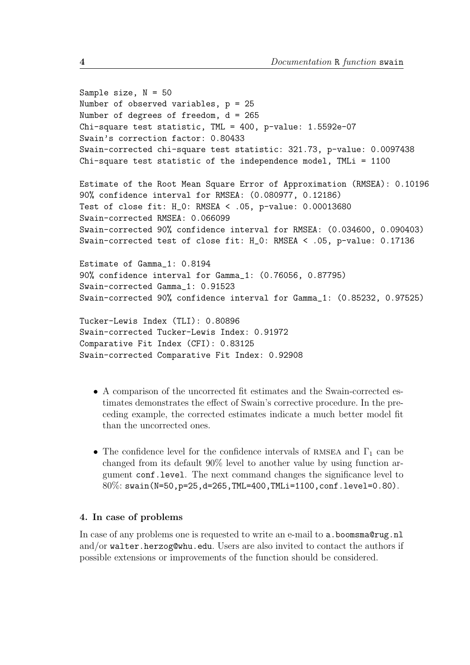```
Sample size, N = 50Number of observed variables, p = 25
Number of degrees of freedom, d = 265
Chi-square test statistic, TML = 400, p-value: 1.5592e-07
Swain's correction factor: 0.80433
Swain-corrected chi-square test statistic: 321.73, p-value: 0.0097438
Chi-square test statistic of the independence model, TMLi = 1100
Estimate of the Root Mean Square Error of Approximation (RMSEA): 0.10196
90% confidence interval for RMSEA: (0.080977, 0.12186)
Test of close fit: H_0: RMSEA < .05, p-value: 0.00013680
Swain-corrected RMSEA: 0.066099
Swain-corrected 90% confidence interval for RMSEA: (0.034600, 0.090403)
Swain-corrected test of close fit: H_0: RMSEA < .05, p-value: 0.17136
Estimate of Gamma_1: 0.8194
90% confidence interval for Gamma_1: (0.76056, 0.87795)
Swain-corrected Gamma_1: 0.91523
Swain-corrected 90% confidence interval for Gamma_1: (0.85232, 0.97525)
Tucker-Lewis Index (TLI): 0.80896
Swain-corrected Tucker-Lewis Index: 0.91972
Comparative Fit Index (CFI): 0.83125
Swain-corrected Comparative Fit Index: 0.92908
```
- A comparison of the uncorrected fit estimates and the Swain-corrected estimates demonstrates the effect of Swain's corrective procedure. In the preceding example, the corrected estimates indicate a much better model fit than the uncorrected ones.
- The confidence level for the confidence intervals of RMSEA and  $\Gamma_1$  can be changed from its default 90% level to another value by using function argument conf.level. The next command changes the significance level to 80%: swain(N=50,p=25,d=265,TML=400,TMLi=1100,conf.level=0.80).

## 4. In case of problems

In case of any problems one is requested to write an e-mail to a.boomsma@rug.nl and/or walter.herzog@whu.edu. Users are also invited to contact the authors if possible extensions or improvements of the function should be considered.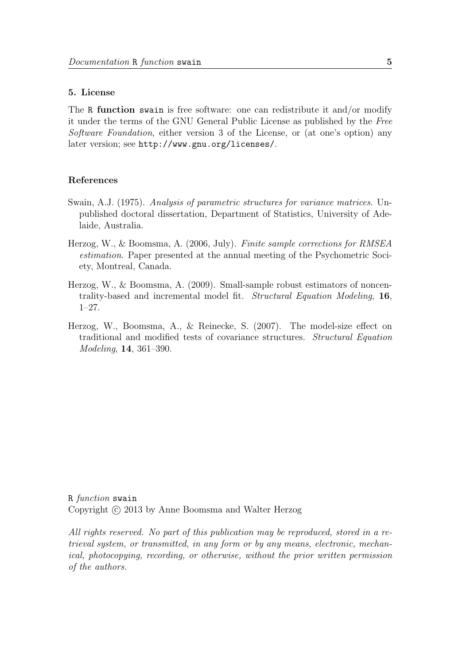#### 5. License

The R function swain is free software: one can redistribute it and/or modify it under the terms of the GNU General Public License as published by the Free Software Foundation, either version 3 of the License, or (at one's option) any later version; see http://www.gnu.org/licenses/.

### References

- Swain, A.J. (1975). Analysis of parametric structures for variance matrices. Unpublished doctoral dissertation, Department of Statistics, University of Adelaide, Australia.
- Herzog, W., & Boomsma, A. (2006, July). Finite sample corrections for RMSEA estimation. Paper presented at the annual meeting of the Psychometric Society, Montreal, Canada.
- Herzog, W., & Boomsma, A. (2009). Small-sample robust estimators of noncentrality-based and incremental model fit. Structural Equation Modeling, 16, 1–27.
- Herzog, W., Boomsma, A., & Reinecke, S. (2007). The model-size effect on traditional and modified tests of covariance structures. Structural Equation Modeling, 14, 361–390.

R function swain Copyright © 2013 by Anne Boomsma and Walter Herzog

All rights reserved. No part of this publication may be reproduced, stored in a retrieval system, or transmitted, in any form or by any means, electronic, mechanical, photocopying, recording, or otherwise, without the prior written permission of the authors.